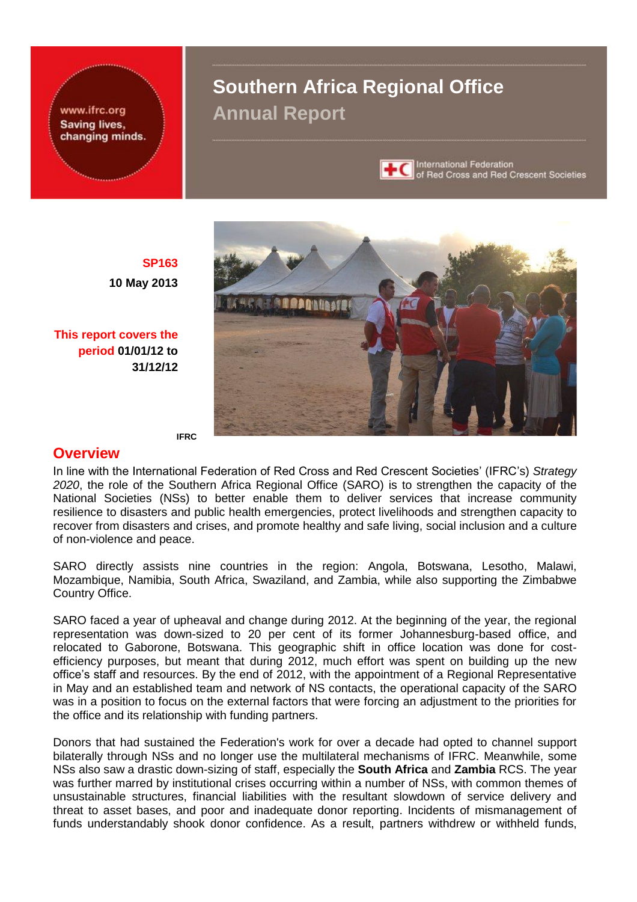www.ifrc.org Saving lives, changing minds.

# **Southern Africa Regional Office Annual Report**



International Federation of Red Cross and Red Crescent Societies



**SP163 10 May 2013**

**This report covers the period 01/01/12 to 31/12/12**

#### **IFRC**

## **Overview**

In line with the International Federation of Red Cross and Red Crescent Societies' (IFRC's) *Strategy 2020*, the role of the Southern Africa Regional Office (SARO) is to strengthen the capacity of the National Societies (NSs) to better enable them to deliver services that increase community resilience to disasters and public health emergencies, protect livelihoods and strengthen capacity to recover from disasters and crises, and promote healthy and safe living, social inclusion and a culture of non-violence and peace.

SARO directly assists nine countries in the region: Angola, Botswana, Lesotho, Malawi, Mozambique, Namibia, South Africa, Swaziland, and Zambia, while also supporting the Zimbabwe Country Office.

SARO faced a year of upheaval and change during 2012. At the beginning of the year, the regional representation was down-sized to 20 per cent of its former Johannesburg-based office, and relocated to Gaborone, Botswana. This geographic shift in office location was done for costefficiency purposes, but meant that during 2012, much effort was spent on building up the new office's staff and resources. By the end of 2012, with the appointment of a Regional Representative in May and an established team and network of NS contacts, the operational capacity of the SARO was in a position to focus on the external factors that were forcing an adjustment to the priorities for the office and its relationship with funding partners.

Donors that had sustained the Federation's work for over a decade had opted to channel support bilaterally through NSs and no longer use the multilateral mechanisms of IFRC. Meanwhile, some NSs also saw a drastic down-sizing of staff, especially the **South Africa** and **Zambia** RCS. The year was further marred by institutional crises occurring within a number of NSs, with common themes of unsustainable structures, financial liabilities with the resultant slowdown of service delivery and threat to asset bases, and poor and inadequate donor reporting. Incidents of mismanagement of funds understandably shook donor confidence. As a result, partners withdrew or withheld funds,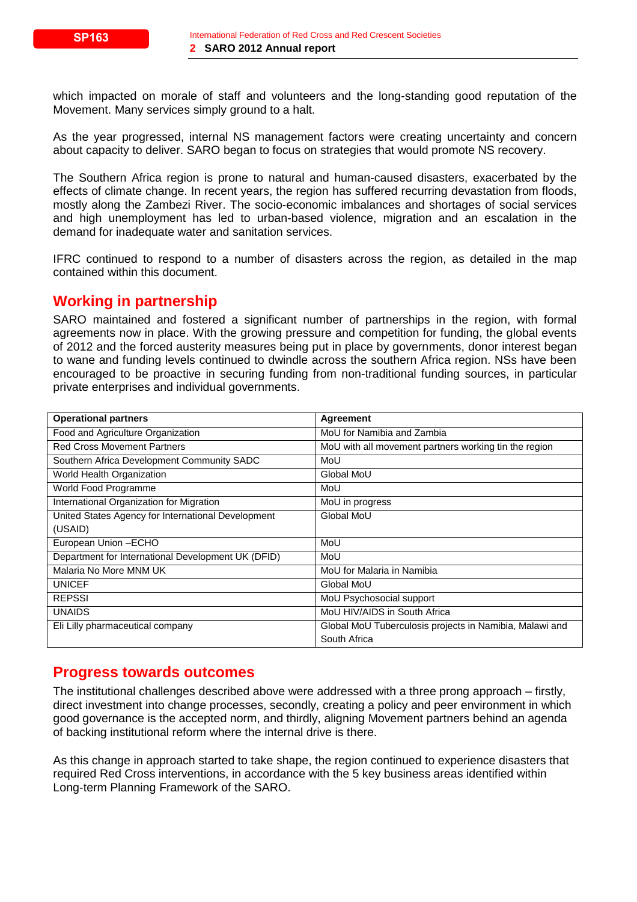which impacted on morale of staff and volunteers and the long-standing good reputation of the Movement. Many services simply ground to a halt.

As the year progressed, internal NS management factors were creating uncertainty and concern about capacity to deliver. SARO began to focus on strategies that would promote NS recovery.

The Southern Africa region is prone to natural and human-caused disasters, exacerbated by the effects of climate change. In recent years, the region has suffered recurring devastation from floods, mostly along the Zambezi River. The socio-economic imbalances and shortages of social services and high unemployment has led to urban-based violence, migration and an escalation in the demand for inadequate water and sanitation services.

IFRC continued to respond to a number of disasters across the region, as detailed in the map contained within this document.

## **Working in partnership**

SARO maintained and fostered a significant number of partnerships in the region, with formal agreements now in place. With the growing pressure and competition for funding, the global events of 2012 and the forced austerity measures being put in place by governments, donor interest began to wane and funding levels continued to dwindle across the southern Africa region. NSs have been encouraged to be proactive in securing funding from non-traditional funding sources, in particular private enterprises and individual governments.

| <b>Operational partners</b>                        | Agreement                                               |
|----------------------------------------------------|---------------------------------------------------------|
| Food and Agriculture Organization                  | MoU for Namibia and Zambia                              |
| <b>Red Cross Movement Partners</b>                 | MoU with all movement partners working tin the region   |
| Southern Africa Development Community SADC         | MoU                                                     |
| World Health Organization                          | Global MoU                                              |
| World Food Programme                               | MoU                                                     |
| International Organization for Migration           | MoU in progress                                         |
| United States Agency for International Development | Global MoU                                              |
| (USAID)                                            |                                                         |
| European Union - ECHO                              | MoU                                                     |
| Department for International Development UK (DFID) | MoU                                                     |
| Malaria No More MNM UK                             | MoU for Malaria in Namibia                              |
| <b>UNICEF</b>                                      | Global MoU                                              |
| <b>REPSSI</b>                                      | MoU Psychosocial support                                |
| <b>UNAIDS</b>                                      | MoU HIV/AIDS in South Africa                            |
| Eli Lilly pharmaceutical company                   | Global MoU Tuberculosis projects in Namibia, Malawi and |
|                                                    | South Africa                                            |

## **Progress towards outcomes**

The institutional challenges described above were addressed with a three prong approach – firstly, direct investment into change processes, secondly, creating a policy and peer environment in which good governance is the accepted norm, and thirdly, aligning Movement partners behind an agenda of backing institutional reform where the internal drive is there.

As this change in approach started to take shape, the region continued to experience disasters that required Red Cross interventions, in accordance with the 5 key business areas identified within Long-term Planning Framework of the SARO.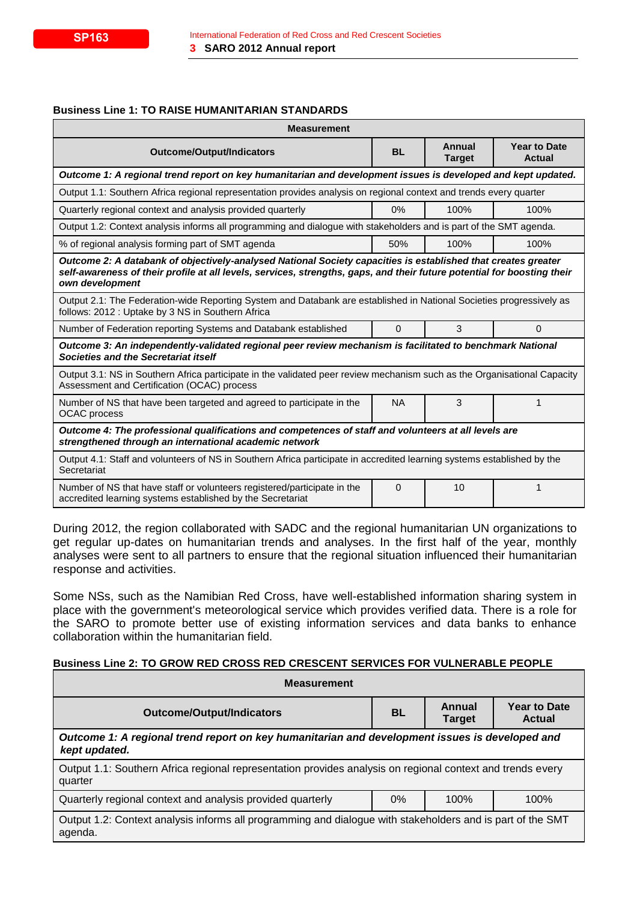#### **Business Line 1: TO RAISE HUMANITARIAN STANDARDS**

| <b>Measurement</b>                                                                                                                                                                                                                                          |           |                         |                                      |
|-------------------------------------------------------------------------------------------------------------------------------------------------------------------------------------------------------------------------------------------------------------|-----------|-------------------------|--------------------------------------|
| <b>Outcome/Output/Indicators</b>                                                                                                                                                                                                                            |           | Annual<br><b>Target</b> | <b>Year to Date</b><br><b>Actual</b> |
| Outcome 1: A regional trend report on key humanitarian and development issues is developed and kept updated.                                                                                                                                                |           |                         |                                      |
| Output 1.1: Southern Africa regional representation provides analysis on regional context and trends every quarter                                                                                                                                          |           |                         |                                      |
| Quarterly regional context and analysis provided quarterly                                                                                                                                                                                                  | 0%        | 100%                    | 100%                                 |
| Output 1.2: Context analysis informs all programming and dialogue with stakeholders and is part of the SMT agenda.                                                                                                                                          |           |                         |                                      |
| % of regional analysis forming part of SMT agenda                                                                                                                                                                                                           | 50%       | 100%                    | 100%                                 |
| Outcome 2: A databank of objectively-analysed National Society capacities is established that creates greater<br>self-awareness of their profile at all levels, services, strengths, gaps, and their future potential for boosting their<br>own development |           |                         |                                      |
| Output 2.1: The Federation-wide Reporting System and Databank are established in National Societies progressively as<br>follows: 2012 : Uptake by 3 NS in Southern Africa                                                                                   |           |                         |                                      |
| 3<br>$\Omega$<br>Number of Federation reporting Systems and Databank established<br>0                                                                                                                                                                       |           |                         |                                      |
| Outcome 3: An independently-validated regional peer review mechanism is facilitated to benchmark National<br>Societies and the Secretariat itself                                                                                                           |           |                         |                                      |
| Output 3.1: NS in Southern Africa participate in the validated peer review mechanism such as the Organisational Capacity<br>Assessment and Certification (OCAC) process                                                                                     |           |                         |                                      |
| Number of NS that have been targeted and agreed to participate in the<br><b>OCAC</b> process                                                                                                                                                                | <b>NA</b> | 3                       |                                      |
| Outcome 4: The professional qualifications and competences of staff and volunteers at all levels are<br>strengthened through an international academic network                                                                                              |           |                         |                                      |
| Output 4.1: Staff and volunteers of NS in Southern Africa participate in accredited learning systems established by the<br>Secretariat                                                                                                                      |           |                         |                                      |
| Number of NS that have staff or volunteers registered/participate in the<br>accredited learning systems established by the Secretariat                                                                                                                      | $\Omega$  | 10                      | 1                                    |

During 2012, the region collaborated with SADC and the regional humanitarian UN organizations to get regular up-dates on humanitarian trends and analyses. In the first half of the year, monthly analyses were sent to all partners to ensure that the regional situation influenced their humanitarian response and activities.

Some NSs, such as the Namibian Red Cross, have well-established information sharing system in place with the government's meteorological service which provides verified data. There is a role for the SARO to promote better use of existing information services and data banks to enhance collaboration within the humanitarian field.

## **Business Line 2: TO GROW RED CROSS RED CRESCENT SERVICES FOR VULNERABLE PEOPLE**

| <b>Measurement</b>                                                                                                    |           |                         |                                      |
|-----------------------------------------------------------------------------------------------------------------------|-----------|-------------------------|--------------------------------------|
| <b>Outcome/Output/Indicators</b>                                                                                      | <b>BL</b> | Annual<br><b>Target</b> | <b>Year to Date</b><br><b>Actual</b> |
| Outcome 1: A regional trend report on key humanitarian and development issues is developed and<br>kept updated.       |           |                         |                                      |
| Output 1.1: Southern Africa regional representation provides analysis on regional context and trends every<br>quarter |           |                         |                                      |
| Quarterly regional context and analysis provided quarterly<br>$0\%$<br>100%<br>100%                                   |           |                         |                                      |
| Output 1.2: Context analysis informs all programming and dialogue with stakeholders and is part of the SMT<br>agenda. |           |                         |                                      |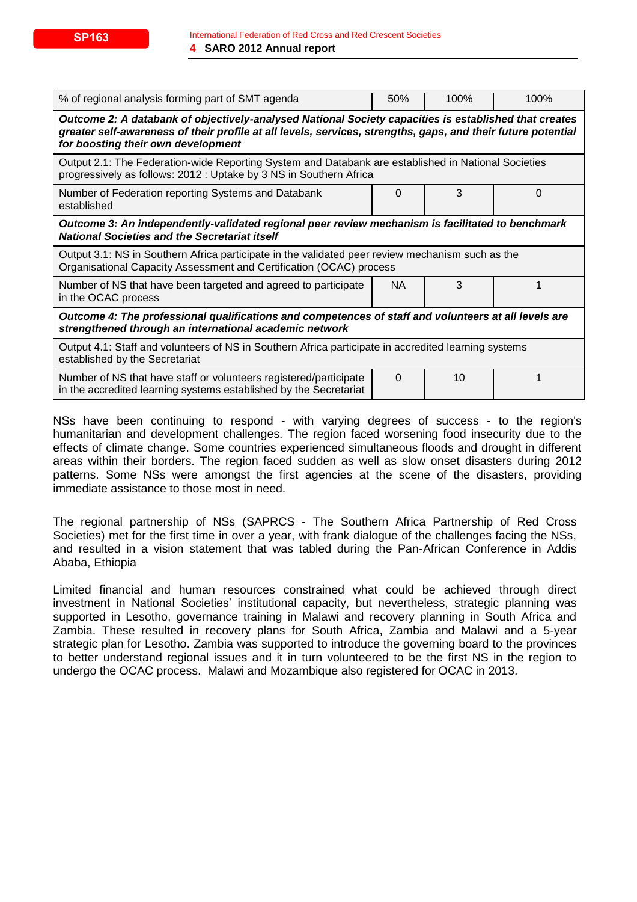| % of regional analysis forming part of SMT agenda                                                                                                                                                                                                           | 50%      | 100% | 100% |
|-------------------------------------------------------------------------------------------------------------------------------------------------------------------------------------------------------------------------------------------------------------|----------|------|------|
| Outcome 2: A databank of objectively-analysed National Society capacities is established that creates<br>greater self-awareness of their profile at all levels, services, strengths, gaps, and their future potential<br>for boosting their own development |          |      |      |
| Output 2.1: The Federation-wide Reporting System and Databank are established in National Societies<br>progressively as follows: 2012 : Uptake by 3 NS in Southern Africa                                                                                   |          |      |      |
| Number of Federation reporting Systems and Databank<br>established                                                                                                                                                                                          | 0        | 3    | 0    |
| Outcome 3: An independently-validated regional peer review mechanism is facilitated to benchmark<br><b>National Societies and the Secretariat itself</b>                                                                                                    |          |      |      |
| Output 3.1: NS in Southern Africa participate in the validated peer review mechanism such as the<br>Organisational Capacity Assessment and Certification (OCAC) process                                                                                     |          |      |      |
| Number of NS that have been targeted and agreed to participate<br>in the OCAC process                                                                                                                                                                       | NA.      | 3    |      |
| Outcome 4: The professional qualifications and competences of staff and volunteers at all levels are<br>strengthened through an international academic network                                                                                              |          |      |      |
| Output 4.1: Staff and volunteers of NS in Southern Africa participate in accredited learning systems<br>established by the Secretariat                                                                                                                      |          |      |      |
| Number of NS that have staff or volunteers registered/participate<br>in the accredited learning systems established by the Secretariat                                                                                                                      | $\Omega$ | 10   |      |

NSs have been continuing to respond - with varying degrees of success - to the region's humanitarian and development challenges. The region faced worsening food insecurity due to the effects of climate change. Some countries experienced simultaneous floods and drought in different areas within their borders. The region faced sudden as well as slow onset disasters during 2012 patterns. Some NSs were amongst the first agencies at the scene of the disasters, providing immediate assistance to those most in need.

The regional partnership of NSs (SAPRCS - The Southern Africa Partnership of Red Cross Societies) met for the first time in over a year, with frank dialogue of the challenges facing the NSs, and resulted in a vision statement that was tabled during the Pan-African Conference in Addis Ababa, Ethiopia

Limited financial and human resources constrained what could be achieved through direct investment in National Societies' institutional capacity, but nevertheless, strategic planning was supported in Lesotho, governance training in Malawi and recovery planning in South Africa and Zambia. These resulted in recovery plans for South Africa, Zambia and Malawi and a 5-year strategic plan for Lesotho. Zambia was supported to introduce the governing board to the provinces to better understand regional issues and it in turn volunteered to be the first NS in the region to undergo the OCAC process. Malawi and Mozambique also registered for OCAC in 2013.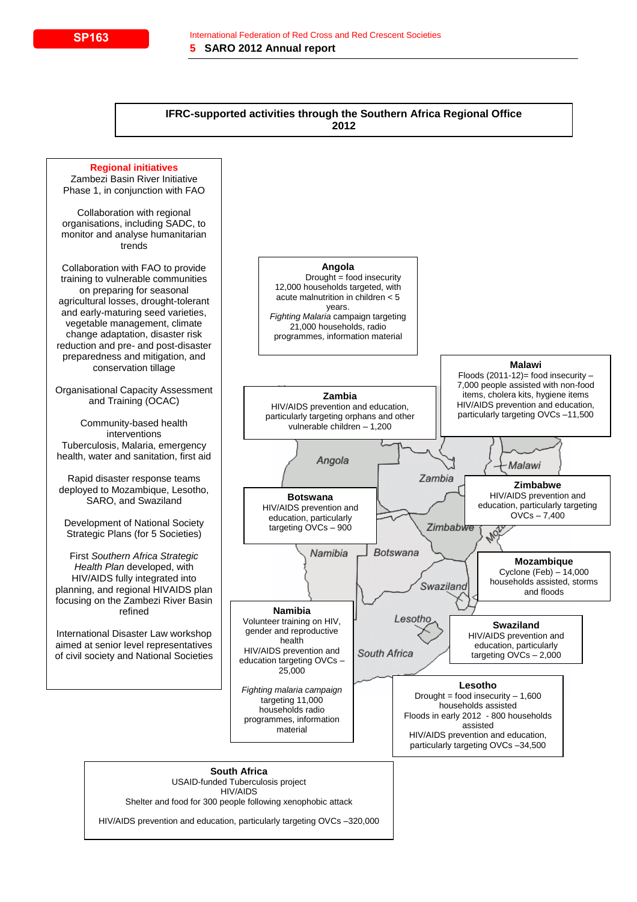#### **IFRC-supported activities through the Southern Africa Regional Office 2012**

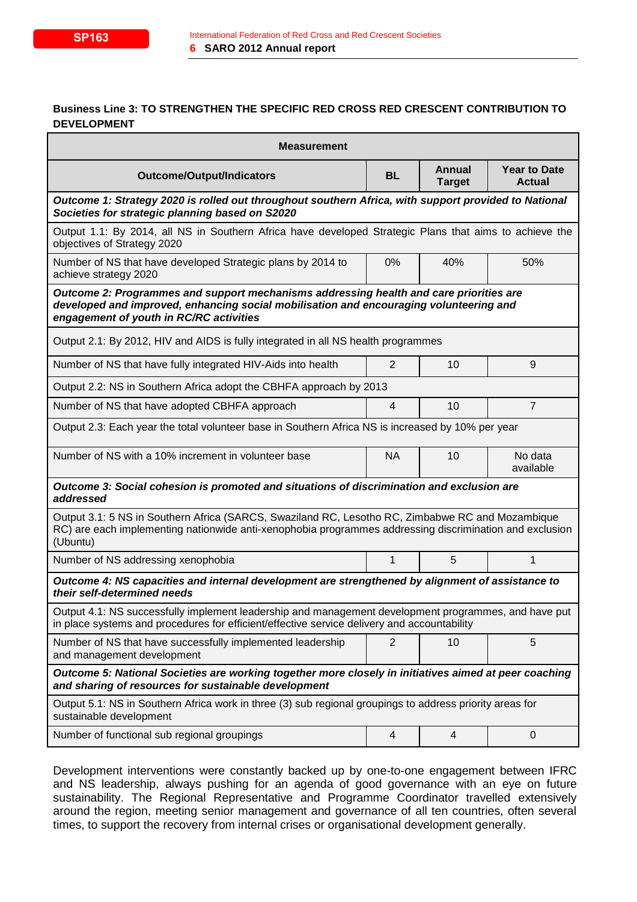## **Business Line 3: TO STRENGTHEN THE SPECIFIC RED CROSS RED CRESCENT CONTRIBUTION TO DEVELOPMENT**

| <b>Measurement</b>                                                                                                                                                                                                          |                                                                                           |                         |                                      |
|-----------------------------------------------------------------------------------------------------------------------------------------------------------------------------------------------------------------------------|-------------------------------------------------------------------------------------------|-------------------------|--------------------------------------|
| <b>Outcome/Output/Indicators</b>                                                                                                                                                                                            | <b>BL</b>                                                                                 | Annual<br><b>Target</b> | <b>Year to Date</b><br><b>Actual</b> |
| Outcome 1: Strategy 2020 is rolled out throughout southern Africa, with support provided to National<br>Societies for strategic planning based on S2020                                                                     |                                                                                           |                         |                                      |
| Output 1.1: By 2014, all NS in Southern Africa have developed Strategic Plans that aims to achieve the<br>objectives of Strategy 2020                                                                                       |                                                                                           |                         |                                      |
| Number of NS that have developed Strategic plans by 2014 to<br>achieve strategy 2020                                                                                                                                        | 0%                                                                                        | 40%                     | 50%                                  |
| Outcome 2: Programmes and support mechanisms addressing health and care priorities are<br>developed and improved, enhancing social mobilisation and encouraging volunteering and<br>engagement of youth in RC/RC activities |                                                                                           |                         |                                      |
| Output 2.1: By 2012, HIV and AIDS is fully integrated in all NS health programmes                                                                                                                                           |                                                                                           |                         |                                      |
| Number of NS that have fully integrated HIV-Aids into health                                                                                                                                                                | 2                                                                                         | 10                      | 9                                    |
| Output 2.2: NS in Southern Africa adopt the CBHFA approach by 2013                                                                                                                                                          |                                                                                           |                         |                                      |
| Number of NS that have adopted CBHFA approach                                                                                                                                                                               | 4                                                                                         | 10                      | $\overline{7}$                       |
| Output 2.3: Each year the total volunteer base in Southern Africa NS is increased by 10% per year                                                                                                                           |                                                                                           |                         |                                      |
| Number of NS with a 10% increment in volunteer base                                                                                                                                                                         | <b>NA</b>                                                                                 | 10                      | No data<br>available                 |
| addressed                                                                                                                                                                                                                   | Outcome 3: Social cohesion is promoted and situations of discrimination and exclusion are |                         |                                      |
| Output 3.1: 5 NS in Southern Africa (SARCS, Swaziland RC, Lesotho RC, Zimbabwe RC and Mozambique<br>RC) are each implementing nationwide anti-xenophobia programmes addressing discrimination and exclusion<br>(Ubuntu)     |                                                                                           |                         |                                      |
| Number of NS addressing xenophobia                                                                                                                                                                                          | 1                                                                                         | 5                       | 1                                    |
| Outcome 4: NS capacities and internal development are strengthened by alignment of assistance to<br>their self-determined needs                                                                                             |                                                                                           |                         |                                      |
| Output 4.1: NS successfully implement leadership and management development programmes, and have put<br>in place systems and procedures for efficient/effective service delivery and accountability                         |                                                                                           |                         |                                      |
| Number of NS that have successfully implemented leadership<br>and management development                                                                                                                                    | 2                                                                                         | 10                      | 5                                    |
| Outcome 5: National Societies are working together more closely in initiatives aimed at peer coaching<br>and sharing of resources for sustainable development                                                               |                                                                                           |                         |                                      |
| Output 5.1: NS in Southern Africa work in three (3) sub regional groupings to address priority areas for<br>sustainable development                                                                                         |                                                                                           |                         |                                      |
| Number of functional sub regional groupings                                                                                                                                                                                 | 4                                                                                         | 4                       | $\boldsymbol{0}$                     |

Development interventions were constantly backed up by one-to-one engagement between IFRC and NS leadership, always pushing for an agenda of good governance with an eye on future sustainability. The Regional Representative and Programme Coordinator travelled extensively around the region, meeting senior management and governance of all ten countries, often several times, to support the recovery from internal crises or organisational development generally.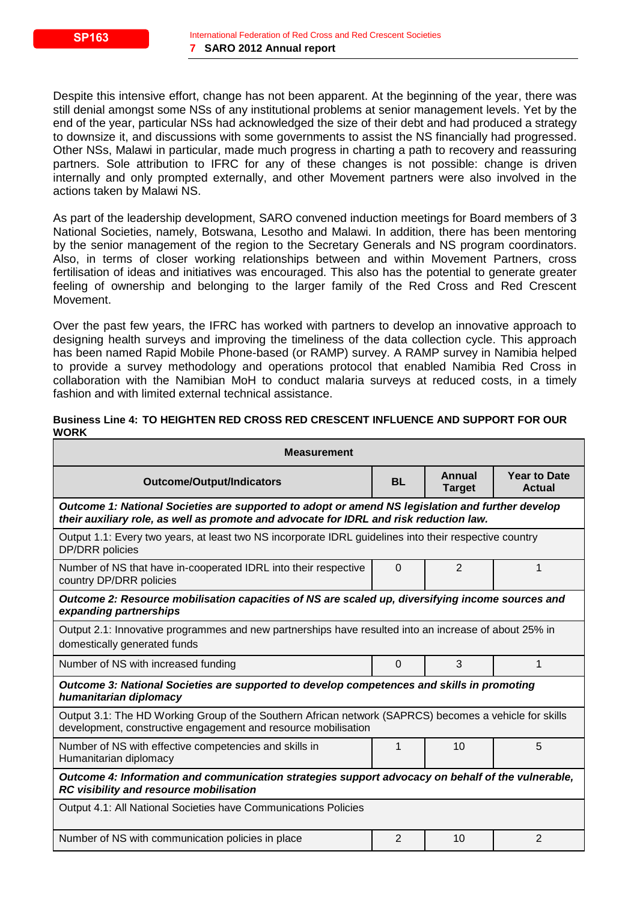Despite this intensive effort, change has not been apparent. At the beginning of the year, there was still denial amongst some NSs of any institutional problems at senior management levels. Yet by the end of the year, particular NSs had acknowledged the size of their debt and had produced a strategy to downsize it, and discussions with some governments to assist the NS financially had progressed. Other NSs, Malawi in particular, made much progress in charting a path to recovery and reassuring partners. Sole attribution to IFRC for any of these changes is not possible: change is driven internally and only prompted externally, and other Movement partners were also involved in the actions taken by Malawi NS.

As part of the leadership development, SARO convened induction meetings for Board members of 3 National Societies, namely, Botswana, Lesotho and Malawi. In addition, there has been mentoring by the senior management of the region to the Secretary Generals and NS program coordinators. Also, in terms of closer working relationships between and within Movement Partners, cross fertilisation of ideas and initiatives was encouraged. This also has the potential to generate greater feeling of ownership and belonging to the larger family of the Red Cross and Red Crescent Movement.

Over the past few years, the IFRC has worked with partners to develop an innovative approach to designing health surveys and improving the timeliness of the data collection cycle. This approach has been named Rapid Mobile Phone-based (or RAMP) survey. A RAMP survey in Namibia helped to provide a survey methodology and operations protocol that enabled Namibia Red Cross in collaboration with the Namibian MoH to conduct malaria surveys at reduced costs, in a timely fashion and with limited external technical assistance.

#### **Business Line 4: TO HEIGHTEN RED CROSS RED CRESCENT INFLUENCE AND SUPPORT FOR OUR WORK**

| <b>Measurement</b>                                                                                                                                                                         |                |                         |                                      |
|--------------------------------------------------------------------------------------------------------------------------------------------------------------------------------------------|----------------|-------------------------|--------------------------------------|
| <b>Outcome/Output/Indicators</b>                                                                                                                                                           | <b>BL</b>      | Annual<br><b>Target</b> | <b>Year to Date</b><br><b>Actual</b> |
| Outcome 1: National Societies are supported to adopt or amend NS legislation and further develop<br>their auxiliary role, as well as promote and advocate for IDRL and risk reduction law. |                |                         |                                      |
| Output 1.1: Every two years, at least two NS incorporate IDRL guidelines into their respective country<br><b>DP/DRR</b> policies                                                           |                |                         |                                      |
| Number of NS that have in-cooperated IDRL into their respective<br>country DP/DRR policies                                                                                                 | $\Omega$       | $\overline{2}$          | 1                                    |
| Outcome 2: Resource mobilisation capacities of NS are scaled up, diversifying income sources and<br>expanding partnerships                                                                 |                |                         |                                      |
| Output 2.1: Innovative programmes and new partnerships have resulted into an increase of about 25% in<br>domestically generated funds                                                      |                |                         |                                      |
| Number of NS with increased funding                                                                                                                                                        | $\Omega$       | 3                       | 1                                    |
| Outcome 3: National Societies are supported to develop competences and skills in promoting<br>humanitarian diplomacy                                                                       |                |                         |                                      |
| Output 3.1: The HD Working Group of the Southern African network (SAPRCS) becomes a vehicle for skills<br>development, constructive engagement and resource mobilisation                   |                |                         |                                      |
| Number of NS with effective competencies and skills in<br>Humanitarian diplomacy                                                                                                           | 1              | 10                      | 5                                    |
| Outcome 4: Information and communication strategies support advocacy on behalf of the vulnerable,<br>RC visibility and resource mobilisation                                               |                |                         |                                      |
| Output 4.1: All National Societies have Communications Policies                                                                                                                            |                |                         |                                      |
| Number of NS with communication policies in place                                                                                                                                          | $\overline{2}$ | 10                      | $\overline{2}$                       |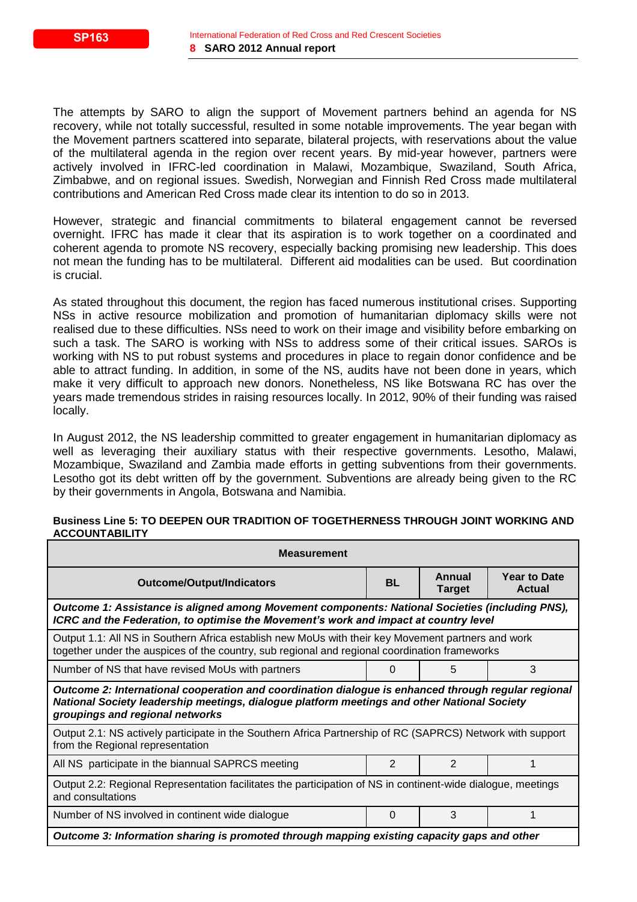The attempts by SARO to align the support of Movement partners behind an agenda for NS recovery, while not totally successful, resulted in some notable improvements. The year began with the Movement partners scattered into separate, bilateral projects, with reservations about the value of the multilateral agenda in the region over recent years. By mid-year however, partners were actively involved in IFRC-led coordination in Malawi, Mozambique, Swaziland, South Africa, Zimbabwe, and on regional issues. Swedish, Norwegian and Finnish Red Cross made multilateral contributions and American Red Cross made clear its intention to do so in 2013.

However, strategic and financial commitments to bilateral engagement cannot be reversed overnight. IFRC has made it clear that its aspiration is to work together on a coordinated and coherent agenda to promote NS recovery, especially backing promising new leadership. This does not mean the funding has to be multilateral. Different aid modalities can be used. But coordination is crucial.

As stated throughout this document, the region has faced numerous institutional crises. Supporting NSs in active resource mobilization and promotion of humanitarian diplomacy skills were not realised due to these difficulties. NSs need to work on their image and visibility before embarking on such a task. The SARO is working with NSs to address some of their critical issues. SAROs is working with NS to put robust systems and procedures in place to regain donor confidence and be able to attract funding. In addition, in some of the NS, audits have not been done in years, which make it very difficult to approach new donors. Nonetheless, NS like Botswana RC has over the years made tremendous strides in raising resources locally. In 2012, 90% of their funding was raised locally.

In August 2012, the NS leadership committed to greater engagement in humanitarian diplomacy as well as leveraging their auxiliary status with their respective governments. Lesotho, Malawi, Mozambique, Swaziland and Zambia made efforts in getting subventions from their governments. Lesotho got its debt written off by the government. Subventions are already being given to the RC by their governments in Angola, Botswana and Namibia.

#### **Business Line 5: TO DEEPEN OUR TRADITION OF TOGETHERNESS THROUGH JOINT WORKING AND ACCOUNTABILITY**

| <b>Measurement</b>                                                                                                                                                                                                                    |               |                         |                               |
|---------------------------------------------------------------------------------------------------------------------------------------------------------------------------------------------------------------------------------------|---------------|-------------------------|-------------------------------|
| <b>Outcome/Output/Indicators</b>                                                                                                                                                                                                      |               | Annual<br><b>Target</b> | <b>Year to Date</b><br>Actual |
| Outcome 1: Assistance is aligned among Movement components: National Societies (including PNS),<br>ICRC and the Federation, to optimise the Movement's work and impact at country level                                               |               |                         |                               |
| Output 1.1: All NS in Southern Africa establish new MoUs with their key Movement partners and work<br>together under the auspices of the country, sub regional and regional coordination frameworks                                   |               |                         |                               |
| 3<br>Number of NS that have revised MoUs with partners<br>5<br>0                                                                                                                                                                      |               |                         |                               |
| Outcome 2: International cooperation and coordination dialogue is enhanced through regular regional<br>National Society leadership meetings, dialogue platform meetings and other National Society<br>groupings and regional networks |               |                         |                               |
| Output 2.1: NS actively participate in the Southern Africa Partnership of RC (SAPRCS) Network with support<br>from the Regional representation                                                                                        |               |                         |                               |
| All NS participate in the biannual SAPRCS meeting                                                                                                                                                                                     | $\mathcal{P}$ | $\mathfrak{p}$          |                               |
| Output 2.2: Regional Representation facilitates the participation of NS in continent-wide dialogue, meetings<br>and consultations                                                                                                     |               |                         |                               |
| 3<br>Number of NS involved in continent wide dialogue<br>0                                                                                                                                                                            |               |                         |                               |
| Outcome 3: Information sharing is promoted through mapping existing capacity gaps and other                                                                                                                                           |               |                         |                               |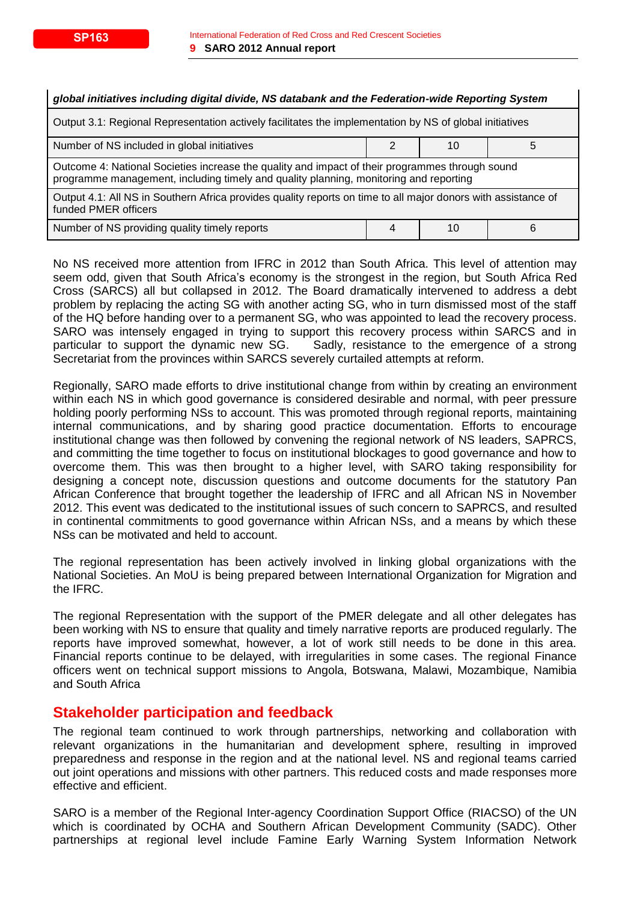| global initiatives including digital divide, NS databank and the Federation-wide Reporting System                                                                                        |   |    |   |
|------------------------------------------------------------------------------------------------------------------------------------------------------------------------------------------|---|----|---|
| Output 3.1: Regional Representation actively facilitates the implementation by NS of global initiatives                                                                                  |   |    |   |
| Number of NS included in global initiatives                                                                                                                                              | 2 | 10 | 5 |
| Outcome 4: National Societies increase the quality and impact of their programmes through sound<br>programme management, including timely and quality planning, monitoring and reporting |   |    |   |
| Output 4.1: All NS in Southern Africa provides quality reports on time to all major donors with assistance of<br>funded PMER officers                                                    |   |    |   |
| Number of NS providing quality timely reports                                                                                                                                            | 4 | 10 | 6 |

No NS received more attention from IFRC in 2012 than South Africa. This level of attention may seem odd, given that South Africa's economy is the strongest in the region, but South Africa Red Cross (SARCS) all but collapsed in 2012. The Board dramatically intervened to address a debt problem by replacing the acting SG with another acting SG, who in turn dismissed most of the staff of the HQ before handing over to a permanent SG, who was appointed to lead the recovery process. SARO was intensely engaged in trying to support this recovery process within SARCS and in particular to support the dynamic new SG. Sadly, resistance to the emergence of a strong Secretariat from the provinces within SARCS severely curtailed attempts at reform.

Regionally, SARO made efforts to drive institutional change from within by creating an environment within each NS in which good governance is considered desirable and normal, with peer pressure holding poorly performing NSs to account. This was promoted through regional reports, maintaining internal communications, and by sharing good practice documentation. Efforts to encourage institutional change was then followed by convening the regional network of NS leaders, SAPRCS, and committing the time together to focus on institutional blockages to good governance and how to overcome them. This was then brought to a higher level, with SARO taking responsibility for designing a concept note, discussion questions and outcome documents for the statutory Pan African Conference that brought together the leadership of IFRC and all African NS in November 2012. This event was dedicated to the institutional issues of such concern to SAPRCS, and resulted in continental commitments to good governance within African NSs, and a means by which these NSs can be motivated and held to account.

The regional representation has been actively involved in linking global organizations with the National Societies. An MoU is being prepared between International Organization for Migration and the IFRC.

The regional Representation with the support of the PMER delegate and all other delegates has been working with NS to ensure that quality and timely narrative reports are produced regularly. The reports have improved somewhat, however, a lot of work still needs to be done in this area. Financial reports continue to be delayed, with irregularities in some cases. The regional Finance officers went on technical support missions to Angola, Botswana, Malawi, Mozambique, Namibia and South Africa

## **Stakeholder participation and feedback**

The regional team continued to work through partnerships, networking and collaboration with relevant organizations in the humanitarian and development sphere, resulting in improved preparedness and response in the region and at the national level. NS and regional teams carried out joint operations and missions with other partners. This reduced costs and made responses more effective and efficient.

SARO is a member of the Regional Inter-agency Coordination Support Office (RIACSO) of the UN which is coordinated by OCHA and Southern African Development Community (SADC). Other partnerships at regional level include Famine Early Warning System Information Network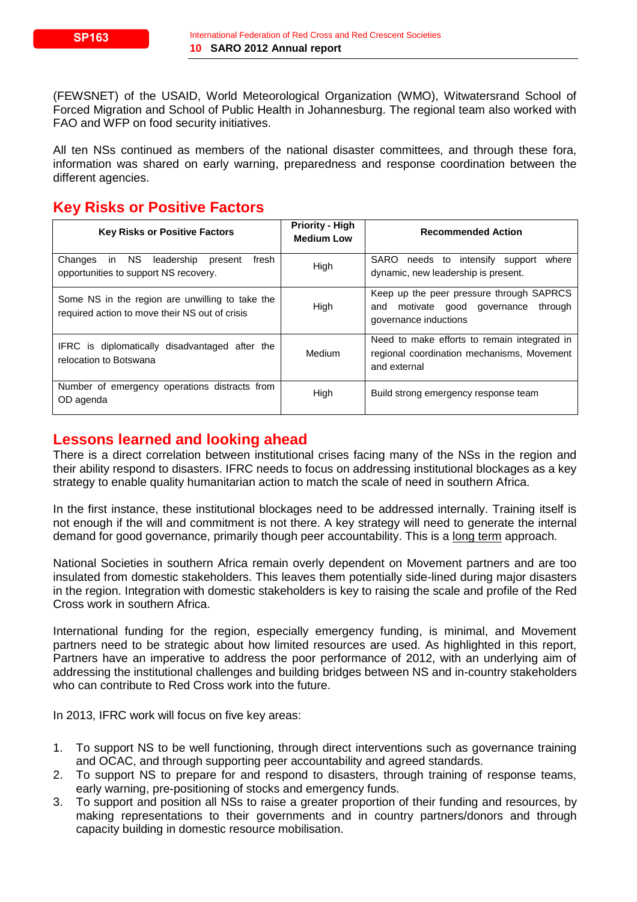(FEWSNET) of the USAID, World Meteorological Organization (WMO), Witwatersrand School of Forced Migration and School of Public Health in Johannesburg. The regional team also worked with FAO and WFP on food security initiatives.

All ten NSs continued as members of the national disaster committees, and through these fora, information was shared on early warning, preparedness and response coordination between the different agencies.

## **Key Risks or Positive Factors**

| <b>Key Risks or Positive Factors</b>                                                              | <b>Priority - High</b><br><b>Medium Low</b> | <b>Recommended Action</b>                                                                                       |
|---------------------------------------------------------------------------------------------------|---------------------------------------------|-----------------------------------------------------------------------------------------------------------------|
| in NS<br>leadership<br>Changes<br>fresh<br>present<br>opportunities to support NS recovery.       | High                                        | SARO needs to intensify support<br>where<br>dynamic, new leadership is present.                                 |
| Some NS in the region are unwilling to take the<br>required action to move their NS out of crisis | High                                        | Keep up the peer pressure through SAPRCS<br>through<br>motivate good governance<br>and<br>governance inductions |
| IFRC is diplomatically disadvantaged after the<br>relocation to Botswana                          | Medium                                      | Need to make efforts to remain integrated in<br>regional coordination mechanisms, Movement<br>and external      |
| Number of emergency operations distracts from<br>OD agenda                                        | High                                        | Build strong emergency response team                                                                            |

## **Lessons learned and looking ahead**

There is a direct correlation between institutional crises facing many of the NSs in the region and their ability respond to disasters. IFRC needs to focus on addressing institutional blockages as a key strategy to enable quality humanitarian action to match the scale of need in southern Africa.

In the first instance, these institutional blockages need to be addressed internally. Training itself is not enough if the will and commitment is not there. A key strategy will need to generate the internal demand for good governance, primarily though peer accountability. This is a long term approach.

National Societies in southern Africa remain overly dependent on Movement partners and are too insulated from domestic stakeholders. This leaves them potentially side-lined during major disasters in the region. Integration with domestic stakeholders is key to raising the scale and profile of the Red Cross work in southern Africa.

International funding for the region, especially emergency funding, is minimal, and Movement partners need to be strategic about how limited resources are used. As highlighted in this report, Partners have an imperative to address the poor performance of 2012, with an underlying aim of addressing the institutional challenges and building bridges between NS and in-country stakeholders who can contribute to Red Cross work into the future.

In 2013, IFRC work will focus on five key areas:

- 1. To support NS to be well functioning, through direct interventions such as governance training and OCAC, and through supporting peer accountability and agreed standards.
- 2. To support NS to prepare for and respond to disasters, through training of response teams, early warning, pre-positioning of stocks and emergency funds.
- 3. To support and position all NSs to raise a greater proportion of their funding and resources, by making representations to their governments and in country partners/donors and through capacity building in domestic resource mobilisation.